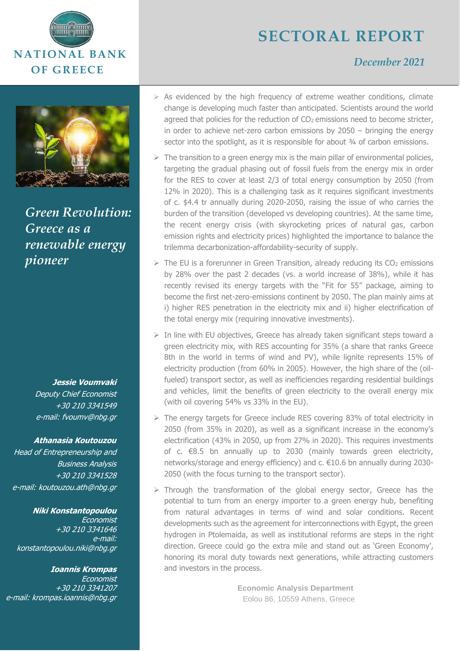



*Green Revolution: Greece as a renewable energy pioneer*

**Jessie Voumvaki** 

Deputy Chief Economist +30 210 3341549 e-mail: fvoumv@nbg.gr

#### **Athanasia Koutouzou**

Head of Entrepreneurship and Business Analysis +30 210 3341528 e-mail: koutouzou.ath@nbg.gr

#### **Niki Konstantopoulou**

Economist +30 210 3341646 e-mail: [konstantopoulou.niki@nbg.gr](mailto:konstantopoulou.niki@nbg.gr)

**Ioannis Krompas** Economist +30 210 3341207 e-mail: krompas.ioannis@nbg.gr

# **SECTORAL REPORT**

## *December 2021*

- $\triangleright$  As evidenced by the high frequency of extreme weather conditions, climate change is developing much faster than anticipated. Scientists around the world agreed that policies for the reduction of CO<sub>2</sub> emissions need to become stricter, in order to achieve net-zero carbon emissions by 2050 – bringing the energy sector into the spotlight, as it is responsible for about 34 of carbon emissions.
- $\triangleright$  The transition to a green energy mix is the main pillar of environmental policies, targeting the gradual phasing out of fossil fuels from the energy mix in order for the RES to cover at least 2/3 of total energy consumption by 2050 (from 12% in 2020). This is a challenging task as it requires significant investments of c. \$4.4 tr annually during 2020-2050, raising the issue of who carries the burden of the transition (developed vs developing countries). At the same time, the recent energy crisis (with skyrocketing prices of natural gas, carbon emission rights and electricity prices) highlighted the importance to balance the trilemma decarbonization-affordability-security of supply.
- $\triangleright$  The EU is a forerunner in Green Transition, already reducing its CO<sub>2</sub> emissions by 28% over the past 2 decades (vs. a world increase of 38%), while it has recently revised its energy targets with the "Fit for 55" package, aiming to become the first net-zero-emissions continent by 2050. The plan mainly aims at i) higher RES penetration in the electricity mix and ii) higher electrification of the total energy mix (requiring innovative investments).
- $\triangleright$  In line with EU objectives, Greece has already taken significant steps toward a green electricity mix, with RES accounting for 35% (a share that ranks Greece 8th in the world in terms of wind and PV), while lignite represents 15% of electricity production (from 60% in 2005). However, the high share of the (oilfueled) transport sector, as well as inefficiencies regarding residential buildings and vehicles, limit the benefits of green electricity to the overall energy mix (with oil covering 54% vs 33% in the EU).
- ➢ The energy targets for Greece include RES covering 83% of total electricity in 2050 (from 35% in 2020), as well as a significant increase in the economy's electrification (43% in 2050, up from 27% in 2020). This requires investments of c. €8.5 bn annually up to 2030 (mainly towards green electricity, networks/storage and energy efficiency) and c. €10.6 bn annually during 2030- 2050 (with the focus turning to the transport sector).
- $\triangleright$  Through the transformation of the global energy sector, Greece has the potential to turn from an energy importer to a green energy hub, benefiting from natural advantages in terms of wind and solar conditions. Recent developments such as the agreement for interconnections with Egypt, the green hydrogen in Ptolemaida, as well as institutional reforms are steps in the right direction. Greece could go the extra mile and stand out as 'Green Economy', honoring its moral duty towards next generations, while attracting customers and investors in the process.

**Economic Analysis Department** Eolou 86, 10559 Athens, Greece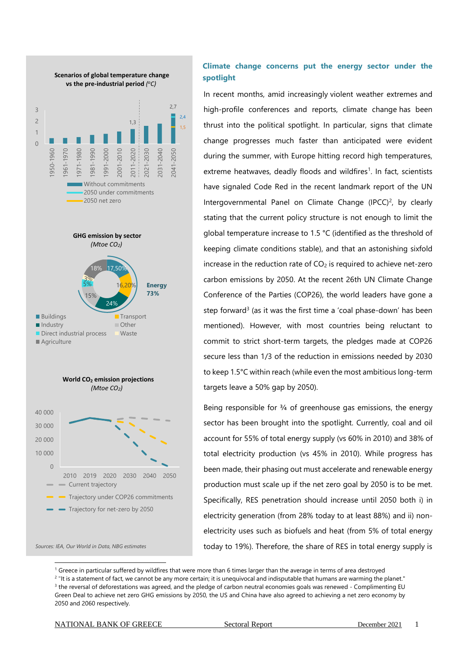

*Sources: IEA, Our World in Data, NBG estimates*

### **Climate change concerns put the energy sector under the spotlight**

In recent months, amid increasingly [violent weather extremes](https://www.dw.com/en/multiple-disasters-together-climate-covid/a-59092327) and high-profile conferences and reports, climate change has been thrust into the political spotlight. In particular, signs that climate change progresses much faster than anticipated were evident during the summer, with Europe hitting record high temperatures, extreme heatwaves, deadly floods and wildfires<sup>1</sup>. In fact, scientists have signaled Code Red in the recent landmark report of the UN Intergovernmental Panel on Climate Change  $(IPCC)^2$ , by clearly stating that the current policy structure is not enough to limit the global temperature increase to 1.5 °C (identified as the threshold of keeping climate conditions stable), and that an astonishing sixfold increase in the reduction rate of  $CO<sub>2</sub>$  is required to achieve net-zero carbon emissions by 2050. At the recent 26th UN Climate Change Conference of the Parties (COP26), the world leaders have gone a step forward<sup>3</sup> (as it was the first time a 'coal phase-down' has been mentioned). However, with most countries being reluctant to commit to strict short-term targets, the pledges made at COP26 secure less than 1/3 of the reduction in emissions needed by 2030 to keep 1.5°C within reach (while even the most ambitious long-term targets leave a 50% gap by 2050).

Being responsible for 3/4 of greenhouse gas emissions, the energy sector has been brought into the spotlight. Currently, coal and oil account for 55% of total energy supply (vs 60% in 2010) and 38% of total electricity production (vs 45% in 2010). While progress has been made, their phasing out must accelerate and renewable energy production must scale up if the net zero goal by 2050 is to be met. Specifically, RES penetration should increase until 2050 both i) in electricity generation (from 28% today to at least 88%) and ii) nonelectricity uses such as biofuels and heat (from 5% of total energy today to 19%). Therefore, the share of RES in total energy supply is

 $1$  Greece in particular suffered by wildfires that were more than 6 times larger than the average in terms of area destroyed

 $^{2}$  "It is a statement of fact, we cannot be any more certain; it is unequivocal and indisputable that humans are warming the planet."  $3$  the reversal of deforestations was agreed, and the pledge of carbon neutral economies goals was renewed - Complimenting EU Green Deal to achieve net zero GHG emissions by 2050, the US and China have also agreed to achieving a net zero economy by 2050 and 2060 respectively.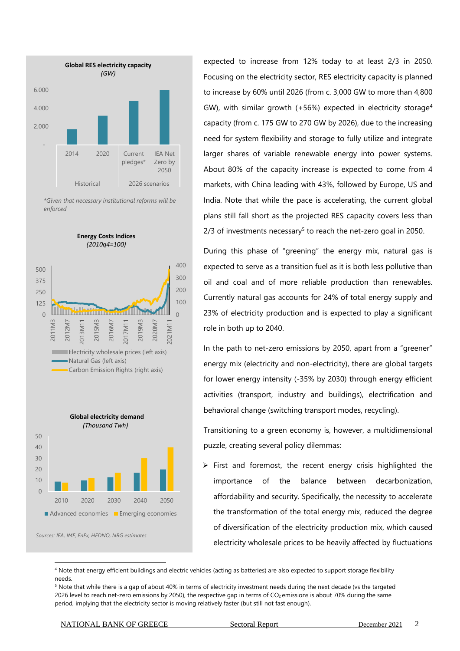

*\*Given that necessary institutional reforms will be enforced*



*Sources: IEA, IMF, EnEx, HEDNO, NBG estimates*

expected to increase from 12% today to at least 2/3 in 2050. Focusing on the electricity sector, RES electricity capacity is planned to increase by 60% until 2026 (from c. 3,000 GW to more than 4,800 GW), with similar growth  $(+56%)$  expected in electricity storage<sup>4</sup> capacity (from c. 175 GW to 270 GW by 2026), due to the increasing need for system flexibility and storage to fully utilize and integrate larger shares of variable renewable energy into power systems. About 80% of the capacity increase is expected to come from 4 markets, with China leading with 43%, followed by Europe, US and India. Note that while the pace is accelerating, the current global plans still fall short as the projected RES capacity covers less than  $2/3$  of investments necessary<sup>5</sup> to reach the net-zero goal in 2050.

During this phase of "greening" the energy mix, natural gas is expected to serve as a transition fuel as it is both less pollutive than oil and coal and of more reliable production than renewables. Currently natural gas accounts for 24% of total energy supply and 23% of electricity production and is expected to play a significant role in both up to 2040.

In the path to net-zero emissions by 2050, apart from a "greener" energy mix (electricity and non-electricity), there are global targets for lower energy intensity (-35% by 2030) through energy efficient activities (transport, industry and buildings), electrification and behavioral change (switching transport modes, recycling).

Transitioning to a green economy is, however, a multidimensional puzzle, creating several policy dilemmas:

 $\triangleright$  First and foremost, the recent energy crisis highlighted the importance of the balance between decarbonization, affordability and security. Specifically, the necessity to accelerate the transformation of the total energy mix, reduced the degree of diversification of the electricity production mix, which caused electricity wholesale prices to be heavily affected by fluctuations

<sup>4</sup> Note that energy efficient buildings and electric vehicles (acting as batteries) are also expected to support storage flexibility needs.

<sup>&</sup>lt;sup>5</sup> Note that while there is a gap of about 40% in terms of electricity investment needs during the next decade (vs the targeted 2026 level to reach net-zero emissions by 2050), the respective gap in terms of  $CO_2$  emissions is about 70% during the same period, implying that the electricity sector is moving relatively faster (but still not fast enough).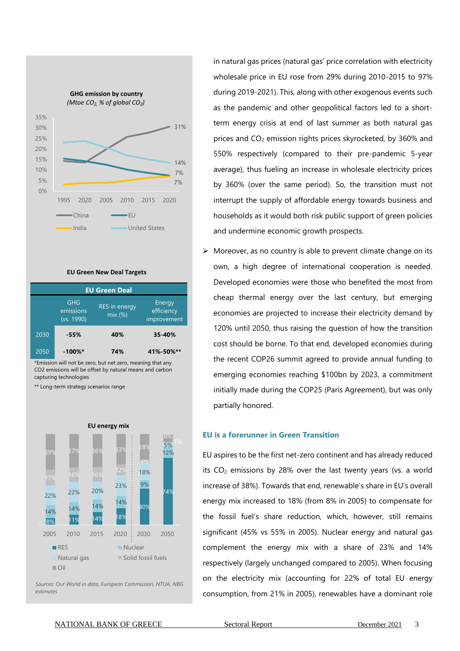

#### **EU Green New Deal Targets**

| <b>EU Green Deal</b> |                                |                                |                                     |  |  |
|----------------------|--------------------------------|--------------------------------|-------------------------------------|--|--|
|                      | GHG<br>emissions<br>(vs. 1990) | <b>RES</b> in energy<br>mix(%) | Energy<br>efficiency<br>improvement |  |  |
| 2030                 | -55%                           | 40%                            | 35-40%                              |  |  |
| 2050                 | $-100\%$ *                     | 74%                            | 41%-50%**                           |  |  |

\*Emission will not be zero, but net zero, meaning that any CO2 emissions will be offset by natural means and carbon capturing technologies

\*\* Long-term strategy scenarios range



*Sources: Our World in data, European Commission, NTUA, NBG estimates*

in natural gas prices (natural gas' price correlation with electricity wholesale price in EU rose from 29% during 2010-2015 to 97% during 2019-2021). This, along with other exogenous events such as the pandemic and other geopolitical factors led to a shortterm energy crisis at end of last summer as both natural gas prices and  $CO<sub>2</sub>$  emission rights prices skyrocketed, by 360% and 550% respectively (compared to their pre-pandemic 5-year average), thus fueling an increase in wholesale electricity prices by 360% (over the same period). So, the transition must not interrupt the supply of affordable energy towards business and households as it would both risk public support of green policies and undermine economic growth prospects.

 $\triangleright$  Moreover, as no country is able to prevent climate change on its own, a high degree of international cooperation is needed. Developed economies were those who benefited the most from cheap thermal energy over the last century, but emerging economies are projected to increase their electricity demand by 120% until 2050, thus raising the question of how the transition cost should be borne. To that end, developed economies during the recent COP26 summit agreed to provide annual funding to emerging economies reaching \$100bn by 2023, a commitment initially made during the COP25 (Paris Agreement), but was only partially honored.

#### **EU is a forerunner in Green Transition**

EU aspires to be the first net-zero continent and has already reduced its  $CO<sub>2</sub>$  emissions by 28% over the last twenty years (vs. a world increase of 38%). Towards that end, renewable's share in EU's overall energy mix increased to 18% (from 8% in 2005) to compensate for the fossil fuel's share reduction, which, however, still remains significant (45% vs 55% in 2005). Nuclear energy and natural gas complement the energy mix with a share of 23% and 14% respectively (largely unchanged compared to 2005). When focusing on the electricity mix (accounting for 22% of total EU energy consumption, from 21% in 2005), renewables have a dominant role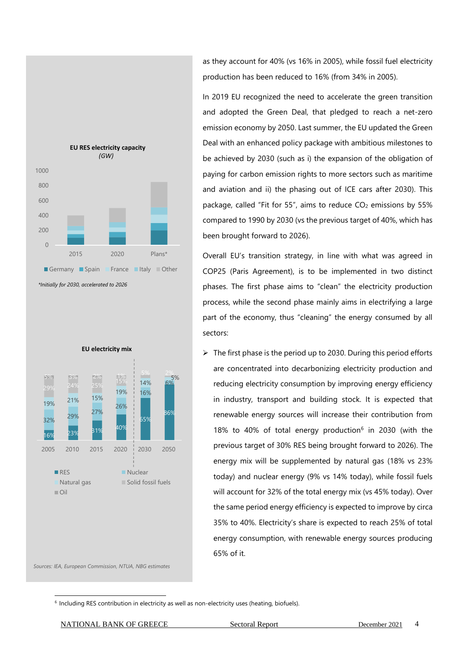

16% 23% 31% 40%  $\mathsf{k}$ 59  $86<sup>c</sup>$ 32% 29% 27% 26% 16% 6% 19% 21% 15% 19% 14% 5% 29% 24% 25% 15% 5% 3% 2% 1%  $\frac{1}{5}$  5% 2% 2005 2010 2015 2020 2030 2050 **RES** Nuclear Natural gas Solid fossil fuels  $\Box$  Oil **EU electricity mix**

*Sources: IEA, European Commission, NTUA, NBG estimates*

as they account for 40% (vs 16% in 2005), while fossil fuel electricity production has been reduced to 16% (from 34% in 2005).

In 2019 EU recognized the need to accelerate the green transition and adopted the Green Deal, that pledged to reach a net-zero emission economy by 2050. Last summer, the EU updated the Green Deal with an enhanced policy package with ambitious milestones to be achieved by 2030 (such as i) the expansion of the obligation of paying for carbon emission rights to more sectors such as maritime and aviation and ii) the phasing out of ICE cars after 2030). Τhis package, called "Fit for 55", aims to reduce  $CO<sub>2</sub>$  emissions by 55% compared to 1990 by 2030 (vs the previous target of 40%, which has been brought forward to 2026).

Overall EU's transition strategy, in line with what was agreed in COP25 (Paris Agreement), is to be implemented in two distinct phases. The first phase aims to "clean" the electricity production process, while the second phase mainly aims in electrifying a large part of the economy, thus "cleaning" the energy consumed by all sectors:

 $\triangleright$  The first phase is the period up to 2030. During this period efforts are concentrated into decarbonizing electricity production and reducing electricity consumption by improving energy efficiency in industry, transport and building stock. It is expected that renewable energy sources will increase their contribution from 18% to 40% of total energy production<sup>6</sup> in 2030 (with the previous target of 30% RES being brought forward to 2026). The energy mix will be supplemented by natural gas (18% vs 23% today) and nuclear energy (9% vs 14% today), while fossil fuels will account for 32% of the total energy mix (vs 45% today). Over the same period energy efficiency is expected to improve by circa 35% to 40%. Electricity's share is expected to reach 25% of total energy consumption, with renewable energy sources producing 65% of it.

NATIONAL BANK OF GREECE Sectoral Report December 2021 4

<sup>&</sup>lt;sup>6</sup> Including RES contribution in electricity as well as non-electricity uses (heating, biofuels).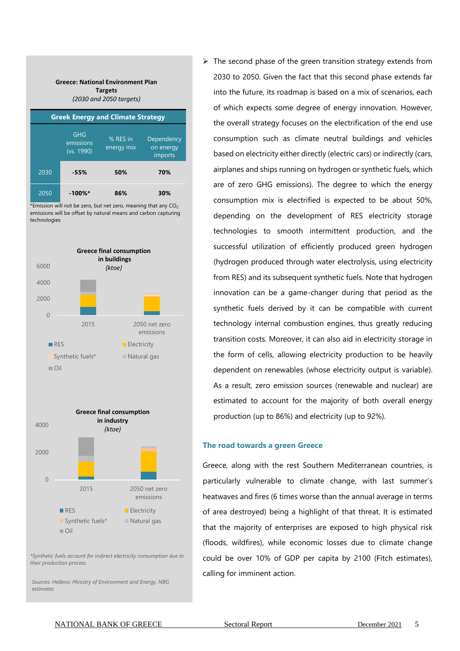**Greece: National Environment Plan Targets** *(2030 and 2050 targets)*

| <b>Greek Energy and Climate Strategy</b> |                                |                        |                                    |  |  |
|------------------------------------------|--------------------------------|------------------------|------------------------------------|--|--|
|                                          | GHG<br>emissions<br>(vs. 1990) | % RES in<br>energy mix | Dependency<br>on energy<br>imports |  |  |
| 2030                                     | -55%                           | 50%                    | 70%                                |  |  |
| 2050                                     | $-100\%$ *                     | 86%                    | 30%                                |  |  |

\*Emission will not be zero, but net zero, meaning that any  $CO<sub>2</sub>$ emissions will be offset by natural means and carbon capturing technologies





*\*Synthetic fuels account for indirect electricity consumption due to their production process*

*Sources: Hellenic Ministry of Environment and Energy, NBG estimates*

 $\triangleright$  The second phase of the green transition strategy extends from 2030 to 2050. Given the fact that this second phase extends far into the future, its roadmap is based on a mix of scenarios, each of which expects some degree of energy innovation. However, the overall strategy focuses on the electrification of the end use consumption such as climate neutral buildings and vehicles based on electricity either directly (electric cars) or indirectly (cars, airplanes and ships running on hydrogen or synthetic fuels, which are of zero GHG emissions). The degree to which the energy consumption mix is electrified is expected to be about 50%, depending on the development of RES electricity storage technologies to smooth intermittent production, and the successful utilization of efficiently produced green hydrogen (hydrogen produced through water electrolysis, using electricity from RES) and its subsequent synthetic fuels. Note that hydrogen innovation can be a game-changer during that period as the synthetic fuels derived by it can be compatible with current technology internal combustion engines, thus greatly reducing transition costs. Moreover, it can also aid in electricity storage in the form of cells, allowing electricity production to be heavily dependent on renewables (whose electricity output is variable). As a result, zero emission sources (renewable and nuclear) are estimated to account for the majority of both overall energy production (up to 86%) and electricity (up to 92%).

#### **The road towards a green Greece**

Greece, along with the rest Southern Mediterranean countries, is particularly vulnerable to climate change, with last summer's heatwaves and fires (6 times worse than the annual average in terms of area destroyed) being a highlight of that threat. It is estimated that the majority of enterprises are exposed to high physical risk (floods, wildfires), while economic losses due to climate change could be over 10% of GDP per capita by 2100 (Fitch estimates), calling for imminent action.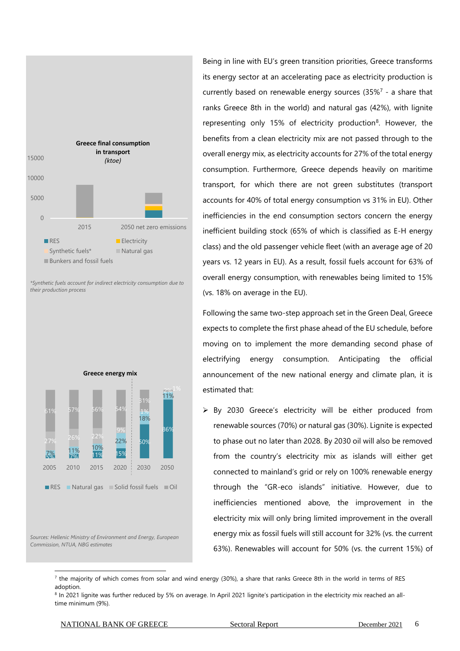

*\*Synthetic fuels account for indirect electricity consumption due to their production process*



*Sources: Hellenic Ministry of Environment and Energy, European Commission, NTUA, NBG estimates*

Being in line with EU's green transition priorities, Greece transforms its energy sector at an accelerating pace as electricity production is currently based on renewable energy sources  $(35\%^{7} - a)$  share that ranks Greece 8th in the world) and natural gas (42%), with lignite representing only 15% of electricity production<sup>8</sup>. However, the benefits from a clean electricity mix are not passed through to the overall energy mix, as electricity accounts for 27% of the total energy consumption. Furthermore, Greece depends heavily on maritime transport, for which there are not green substitutes (transport accounts for 40% of total energy consumption vs 31% in EU). Other inefficiencies in the end consumption sectors concern the energy inefficient building stock (65% of which is classified as E-H energy class) and the old passenger vehicle fleet (with an average age of 20 years vs. 12 years in EU). As a result, fossil fuels account for 63% of overall energy consumption, with renewables being limited to 15% (vs. 18% on average in the EU).

Following the same two-step approach set in the Green Deal, Greece expects to complete the first phase ahead of the EU schedule, before moving on to implement the more demanding second phase of electrifying energy consumption. Anticipating the official announcement of the new national energy and climate plan, it is estimated that:

➢ By 2030 Greece's electricity will be either produced from renewable sources (70%) or natural gas (30%). Lignite is expected to phase out no later than 2028. By 2030 oil will also be removed from the country's electricity mix as islands will either get connected to mainland's grid or rely on 100% renewable energy through the "GR-eco islands" initiative. However, due to inefficiencies mentioned above, the improvement in the electricity mix will only bring limited improvement in the overall energy mix as fossil fuels will still account for 32% (vs. the current 63%). Renewables will account for 50% (vs. the current 15%) of

#### NATIONAL BANK OF GREECE Sectoral Report December 2021 6

 $^7$  the majority of which comes from solar and wind energy (30%), a share that ranks Greece 8th in the world in terms of RES adoption.

<sup>&</sup>lt;sup>8</sup> In 2021 lignite was further reduced by 5% on average. In April 2021 lignite's participation in the electricity mix reached an alltime minimum (9%).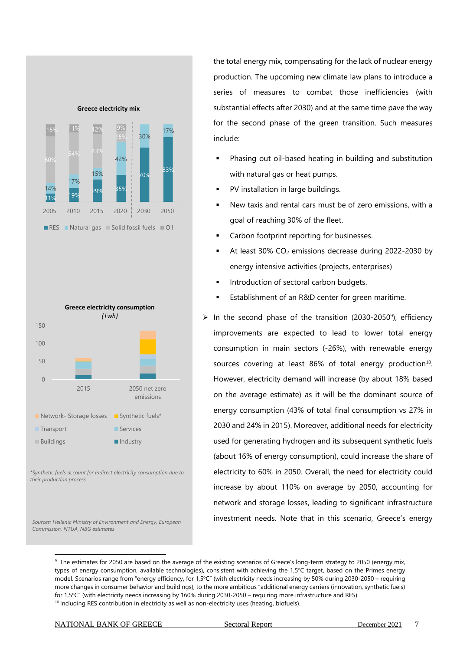



*\*Synthetic fuels account for indirect electricity consumption due to their production process*

*Sources: Hellenic Ministry of Environment and Energy, European Commission, NTUA, NBG estimates*

the total energy mix, compensating for the lack of nuclear energy production. The upcoming new climate law plans to introduce a series of measures to combat those inefficiencies (with substantial effects after 2030) and at the same time pave the way for the second phase of the green transition. Such measures include:

- Phasing out oil-based heating in building and substitution with natural gas or heat pumps.
- PV installation in large buildings.
- New taxis and rental cars must be of zero emissions, with a goal of reaching 30% of the fleet.
- Carbon footprint reporting for businesses.
- At least  $30\%$  CO<sub>2</sub> emissions decrease during 2022-2030 by energy intensive activities (projects, enterprises)
- **■** Introduction of sectoral carbon budgets.
- Establishment of an R&D center for green maritime.
- $\triangleright$  In the second phase of the transition (2030-2050<sup>9</sup>), efficiency improvements are expected to lead to lower total energy consumption in main sectors (-26%), with renewable energy sources covering at least  $86\%$  of total energy production<sup>10</sup>. However, electricity demand will increase (by about 18% based on the average estimate) as it will be the dominant source of energy consumption (43% of total final consumption vs 27% in 2030 and 24% in 2015). Moreover, additional needs for electricity used for generating hydrogen and its subsequent synthetic fuels (about 16% of energy consumption), could increase the share of electricity to 60% in 2050. Overall, the need for electricity could increase by about 110% on average by 2050, accounting for network and storage losses, leading to significant infrastructure investment needs. Note that in this scenario, Greece's energy

<sup>&</sup>lt;sup>9</sup> The estimates for 2050 are based on the average of the existing scenarios of Greece's long-term strategy to 2050 (energy mix, types of energy consumption, available technologies), consistent with achieving the 1,5°C target, based on the Primes energy model. Scenarios range from "energy efficiency, for 1,5°C" (with electricity needs increasing by 50% during 2030-2050 – requiring more changes in consumer behavior and buildings), to the more ambitious "additional energy carriers (innovation, synthetic fuels) for 1,5°C" (with electricity needs increasing by 160% during 2030-2050 – requiring more infrastructure and RES). <sup>10</sup> Including RES contribution in electricity as well as non-electricity uses (heating, biofuels).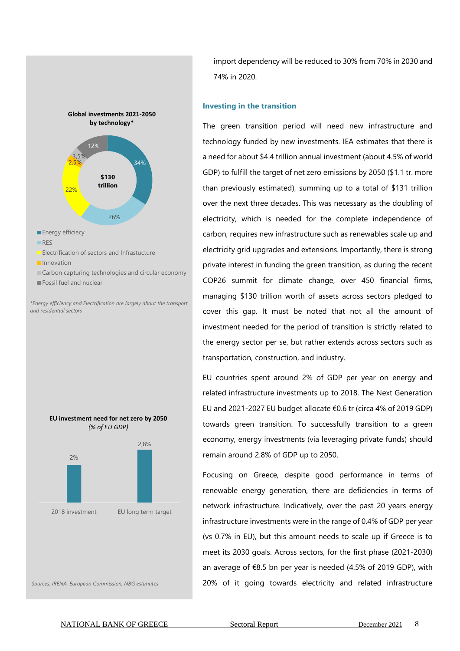

- **I**nnovation
- Carbon capturing technologies and circular economy
- Fossil fuel and nuclear

*\*Energy efficiency and Electrification are largely about the transport and residential sectors*





*Sources: IRENA, European Commission, NBG estimates*

import dependency will be reduced to 30% from 70% in 2030 and 74% in 2020.

#### **Investing in the transition**

The green transition period will need new infrastructure and technology funded by new investments. IEA estimates that there is a need for about \$4.4 trillion annual investment (about 4.5% of world GDP) to fulfill the target of net zero emissions by 2050 (\$1.1 tr. more than previously estimated), summing up to a total of \$131 trillion over the next three decades. This was necessary as the doubling of electricity, which is needed for the complete independence of carbon, requires new infrastructure such as renewables scale up and electricity grid upgrades and extensions. Importantly, there is strong private interest in funding the green transition, as during the recent COP26 summit for climate change, over 450 financial firms, managing \$130 trillion worth of assets across sectors pledged to cover this gap. It must be noted that not all the amount of investment needed for the period of transition is strictly related to the energy sector per se, but rather extends across sectors such as transportation, construction, and industry.

EU countries spent around 2% of GDP per year on energy and related infrastructure investments up to 2018. The Next Generation EU and 2021-2027 EU budget allocate €0.6 tr (circa 4% of 2019 GDP) towards green transition. To successfully transition to a green economy, energy investments (via leveraging private funds) should remain around 2.8% of GDP up to 2050.

Focusing on Greece, despite good performance in terms of renewable energy generation, there are deficiencies in terms of network infrastructure. Indicatively, over the past 20 years energy infrastructure investments were in the range of 0.4% of GDP per year (vs 0.7% in EU), but this amount needs to scale up if Greece is to meet its 2030 goals. Across sectors, for the first phase (2021-2030) an average of €8.5 bn per year is needed (4.5% of 2019 GDP), with 20% of it going towards electricity and related infrastructure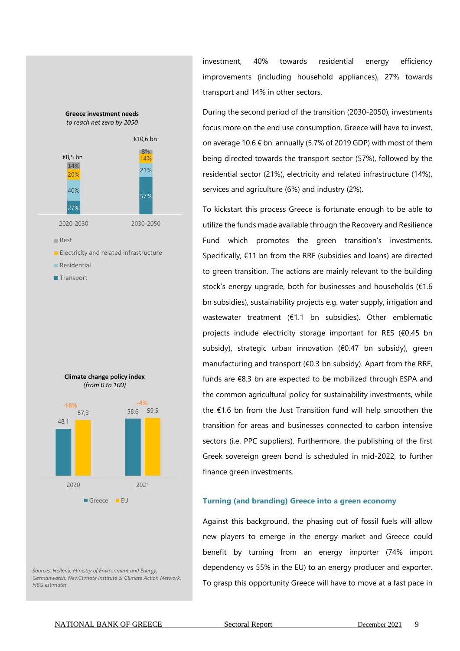

*Sources: Hellenic Ministry of Environment and Energy, Germanwatch, NewClimate Institute & Climate Action Network, NBG estimates*

investment, 40% towards residential energy efficiency improvements (including household appliances), 27% towards transport and 14% in other sectors.

During the second period of the transition (2030-2050), investments focus more on the end use consumption. Greece will have to invest, on average 10.6 € bn. annually (5.7% of 2019 GDP) with most of them being directed towards the transport sector (57%), followed by the residential sector (21%), electricity and related infrastructure (14%), services and agriculture (6%) and industry (2%).

To kickstart this process Greece is fortunate enough to be able to utilize the funds made available through the Recovery and Resilience Fund which promotes the green transition's investments. Specifically, €11 bn from the RRF (subsidies and loans) are directed to green transition. The actions are mainly relevant to the building stock's energy upgrade, both for businesses and households (€1.6 bn subsidies), sustainability projects e.g. water supply, irrigation and wastewater treatment (€1.1 bn subsidies). Other emblematic projects include electricity storage important for RES (€0.45 bn subsidy), strategic urban innovation (€0.47 bn subsidy), green manufacturing and transport (€0.3 bn subsidy). Apart from the RRF, funds are €8.3 bn are expected to be mobilized through ESPA and the common agricultural policy for sustainability investments, while the €1.6 bn from the Just Transition fund will help smoothen the transition for areas and businesses connected to carbon intensive sectors (i.e. PPC suppliers). Furthermore, the publishing of the first Greek sovereign green bond is scheduled in mid-2022, to further finance green investments.

#### **Turning (and branding) Greece into a green economy**

Against this background, the phasing out of fossil fuels will allow new players to emerge in the energy market and Greece could benefit by turning from an energy importer (74% import dependency vs 55% in the EU) to an energy producer and exporter. To grasp this opportunity Greece will have to move at a fast pace in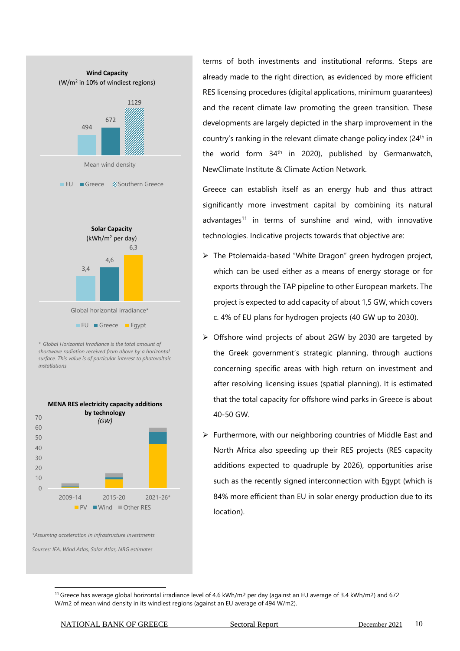

*\* Global Horizontal Irradiance is the total amount of shortwave radiation received from above by a horizontal surface. This value is of particular interest to photovoltaic installations*



*\*Assuming acceleration in infrastructure investments*

*Sources: IEA, Wind Atlas, Solar Atlas, NBG estimates*

terms of both investments and institutional reforms. Steps are already made to the right direction, as evidenced by more efficient RES licensing procedures (digital applications, minimum guarantees) and the recent climate law promoting the green transition. These developments are largely depicted in the sharp improvement in the country's ranking in the relevant climate change policy index (24<sup>th</sup> in the world form  $34<sup>th</sup>$  in 2020), published by Germanwatch, NewClimate Institute & Climate Action Network.

Greece can establish itself as an energy hub and thus attract significantly more investment capital by combining its natural advantages<sup>11</sup> in terms of sunshine and wind, with innovative technologies. Indicative projects towards that objective are:

- ➢ The Ptolemaida-based "White Dragon" green hydrogen project, which can be used either as a means of energy storage or for exports through the TAP pipeline to other European markets. The project is expected to add capacity of about 1,5 GW, which covers c. 4% of EU plans for hydrogen projects (40 GW up to 2030).
- ➢ Offshore wind projects of about 2GW by 2030 are targeted by the Greek government's strategic planning, through auctions concerning specific areas with high return on investment and after resolving licensing issues (spatial planning). It is estimated that the total capacity for offshore wind parks in Greece is about 40-50 GW.
- ➢ Furthermore, with our neighboring countries of Middle East and North Africa also speeding up their RES projects (RES capacity additions expected to quadruple by 2026), opportunities arise such as the recently signed interconnection with Egypt (which is 84% more efficient than EU in solar energy production due to its location).

<sup>11</sup> Greece has average global horizontal irradiance level of 4.6 kWh/m2 per day (against an EU average of 3.4 kWh/m2) and 672 W/m2 of mean wind density in its windiest regions (against an EU average of 494 W/m2).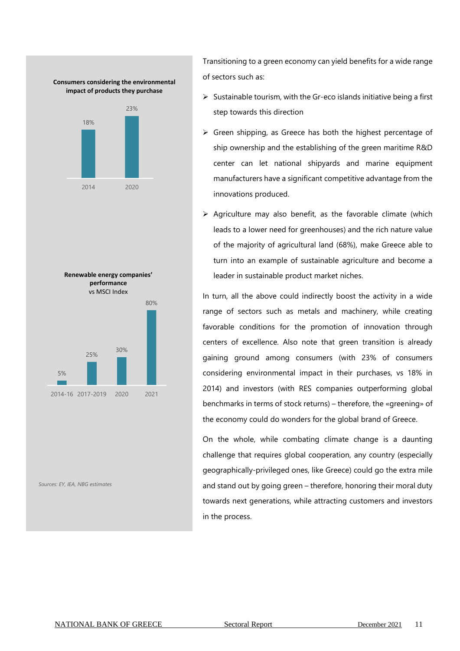

*Sources: ΕΥ, ΙΕΑ, NBG estimates*

Transitioning to a green economy can yield benefits for a wide range of sectors such as:

- ➢ Sustainable tourism, with the Gr-eco islands initiative being a first step towards this direction
- $\triangleright$  Green shipping, as Greece has both the highest percentage of ship ownership and the establishing of the green maritime R&D center can let national shipyards and marine equipment manufacturers have a significant competitive advantage from the innovations produced.
- $\triangleright$  Agriculture may also benefit, as the favorable climate (which leads to a lower need for greenhouses) and the rich nature value of the majority of agricultural land (68%), make Greece able to turn into an example of sustainable agriculture and become a leader in sustainable product market niches.

In turn, all the above could indirectly boost the activity in a wide range of sectors such as metals and machinery, while creating favorable conditions for the promotion of innovation through centers of excellence. Also note that green transition is already gaining ground among consumers (with 23% of consumers considering environmental impact in their purchases, vs 18% in 2014) and investors (with RES companies outperforming global benchmarks in terms of stock returns) – therefore, the «greening» of the economy could do wonders for the global brand of Greece.

On the whole, while combating climate change is a daunting challenge that requires global cooperation, any country (especially geographically-privileged ones, like Greece) could go the extra mile and stand out by going green – therefore, honoring their moral duty towards next generations, while attracting customers and investors in the process.